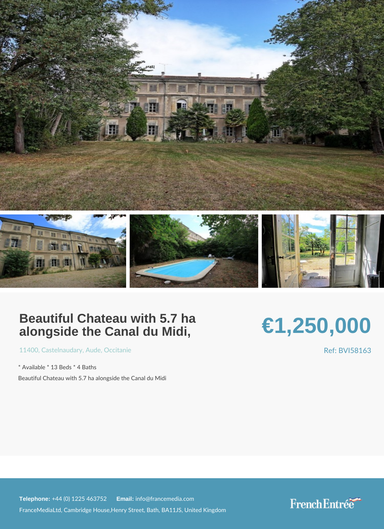## Beautiful Chateau with 5.7 ha alongside the Canal du Midi,

## €1,250,000

[1140](https://www.frenchentree.com/property-for-sale/property-for-sale-france/11400-xx-castelnaudary-xx-aude-xx-occitanie)[, Castelna](https://www.frenchentree.com/property-for-sale/property-for-sale-france/11400-xx-castelnaudary-xx-aude-xx-occitanie)u, Naud, Cocitani[e](https://www.frenchentree.com/property-for-sale/property-for-sale-france/occitanie)

\* Available \* 13 Beds \* 4 Baths Beautiful Chateau with 5.7 ha alongside the Canal du Midi Ref: BVI581

Telephone:  $+44$  (0) 1225 46 Ematilian fo@francemedia.com FranceMediaLtd, Cambridge House,Henry Street, Bath, BA11JS, United Kingdom